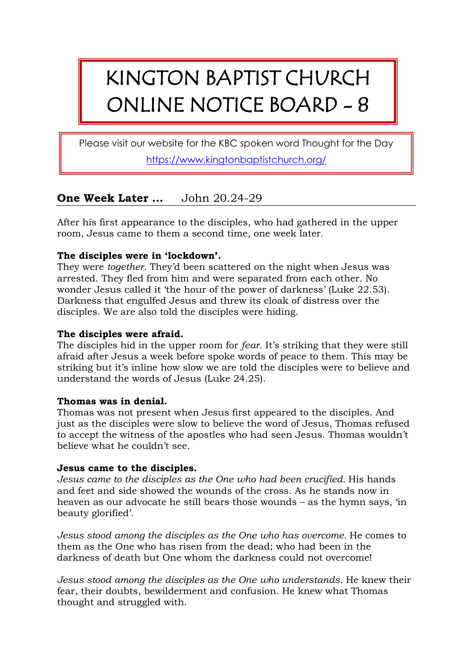# KINGTON BAPTIST CHURCH ONLINE NOTICE BOARD - 8

Please visit our website for the KBC spoken word Thought for the Day

<https://www.kingtonbaptistchurch.org/>

## **One Week Later …** John 20.24-29

After his first appearance to the disciples, who had gathered in the upper room, Jesus came to them a second time, one week later.

### **The disciples were in 'lockdown'.**

They were *together*. They'd been scattered on the night when Jesus was arrested. They fled from him and were separated from each other. No wonder Jesus called it 'the hour of the power of darkness' (Luke 22.53). Darkness that engulfed Jesus and threw its cloak of distress over the disciples. We are also told the disciples were hiding.

### **The disciples were afraid.**

The disciples hid in the upper room for *fear*. It's striking that they were still afraid after Jesus a week before spoke words of peace to them. This may be striking but it's inline how slow we are told the disciples were to believe and understand the words of Jesus (Luke 24.25).

#### **Thomas was in denial.**

Thomas was not present when Jesus first appeared to the disciples. And just as the disciples were slow to believe the word of Jesus, Thomas refused to accept the witness of the apostles who had seen Jesus. Thomas wouldn't believe what he couldn't see.

#### **Jesus came to the disciples.**

*Jesus came to the disciples as the One who had been crucified.* His hands and feet and side showed the wounds of the cross. As he stands now in heaven as our advocate he still bears those wounds – as the hymn says, 'in beauty glorified'.

*Jesus stood among the disciples as the One who has overcome.* He comes to them as the One who has risen from the dead; who had been in the darkness of death but One whom the darkness could not overcome!

*Jesus stood among the disciples as the One who understands.* He knew their fear, their doubts, bewilderment and confusion. He knew what Thomas thought and struggled with.